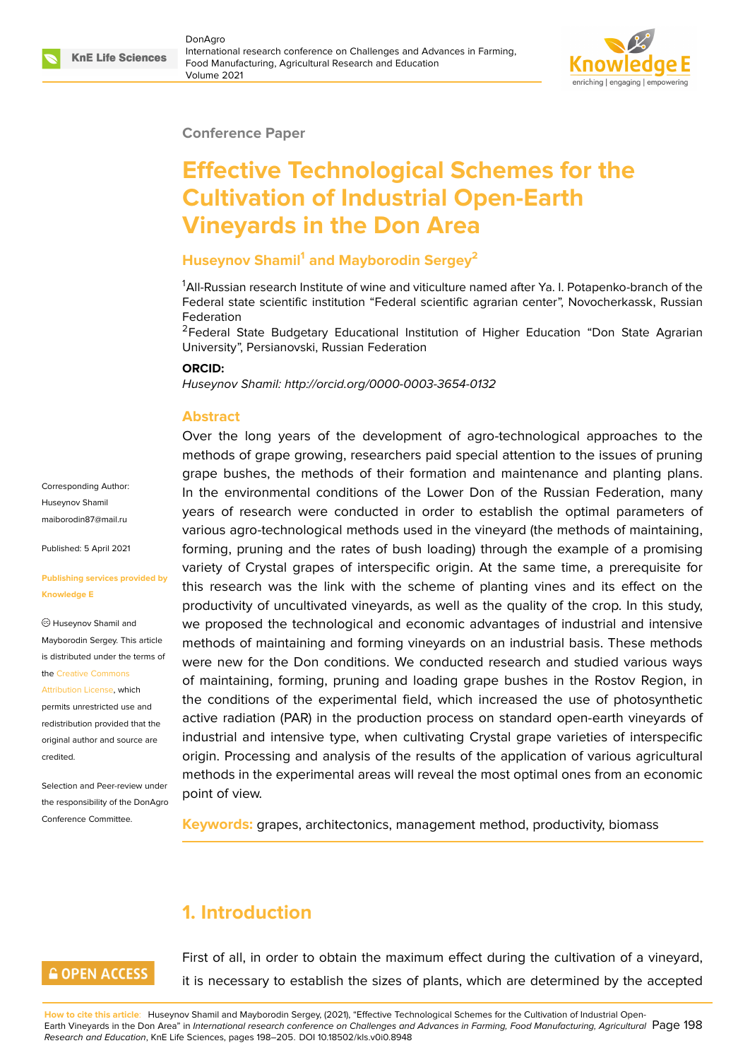#### **Conference Paper**

# **Effective Technological Schemes for the Cultivation of Industrial Open-Earth Vineyards in the Don Area**

#### **Huseynov Shamil<sup>1</sup> and Mayborodin Sergey<sup>2</sup>**

<sup>1</sup>All-Russian research Institute of wine and viticulture named after Ya. I. Potapenko-branch of the Federal state scientific institution "Federal scientific agrarian center", Novocherkassk, Russian Federation

<sup>2</sup>Federal State Budgetary Educational Institution of Higher Education "Don State Agrarian University", Persianovski, Russian Federation

#### **ORCID:**

*Huseynov Shamil: http://orcid.org/0000-0003-3654-0132*

#### **Abstract**

Over the long years of the development of agro-technological approaches to the methods of grape growing, researchers paid special attention to the issues of pruning grape bushes, the methods of their formation and maintenance and planting plans. In the environmental conditions of the Lower Don of the Russian Federation, many years of research were conducted in order to establish the optimal parameters of various agro-technological methods used in the vineyard (the methods of maintaining, forming, pruning and the rates of bush loading) through the example of a promising variety of Crystal grapes of interspecific origin. At the same time, a prerequisite for this research was the link with the scheme of planting vines and its effect on the productivity of uncultivated vineyards, as well as the quality of the crop. In this study, we proposed the technological and economic advantages of industrial and intensive methods of maintaining and forming vineyards on an industrial basis. These methods were new for the Don conditions. We conducted research and studied various ways of maintaining, forming, pruning and loading grape bushes in the Rostov Region, in the conditions of the experimental field, which increased the use of photosynthetic active radiation (PAR) in the production process on standard open-earth vineyards of industrial and intensive type, when cultivating Crystal grape varieties of interspecific origin. Processing and analysis of the results of the application of various agricultural methods in the experimental areas will reveal the most optimal ones from an economic point of view.

**Keywords:** grapes, architectonics, management method, productivity, biomass

# **1. Introduction**

### **GOPEN ACCESS**

First of all, in order to obtain the maximum effect during the cultivation of a vineyard, it is necessary to establish the sizes of plants, which are determined by the accepted

**How to cite this article**: Huseynov Shamil and Mayborodin Sergey, (2021), "Effective Technological Schemes for the Cultivation of Industrial Open-Earth Vineyards in the Don Area" in *International research conference on Challenges and Advances in Farming, Food Manufacturing, Agricultural* Page 198 *Research and Education*, KnE Life Sciences, pages 198–205. DOI 10.18502/kls.v0i0.8948

Corresponding Author: Huseynov Shamil maiborodin87@mail.ru

Published: 5 April 2021

#### **[Publishing services pr](mailto:maiborodin87@mail.ru)ovided by Knowledge E**

Huseynov Shamil and Mayborodin Sergey. This article is distributed under the terms of the Creative Commons

Attribution License, which permits unrestricted use and redistribution provided that the orig[inal author and sou](https://creativecommons.org/licenses/by/4.0/)rce are [credited.](https://creativecommons.org/licenses/by/4.0/)

Selection and Peer-review under the responsibility of the DonAgro Conference Committee.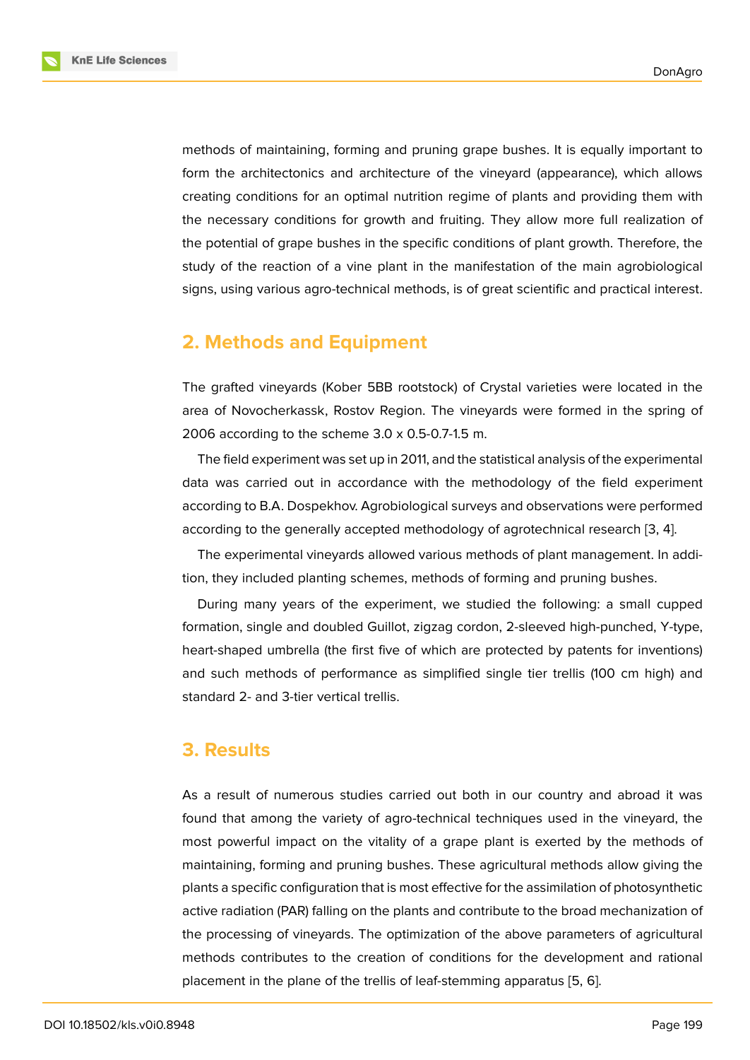methods of maintaining, forming and pruning grape bushes. It is equally important to form the architectonics and architecture of the vineyard (appearance), which allows creating conditions for an optimal nutrition regime of plants and providing them with the necessary conditions for growth and fruiting. They allow more full realization of the potential of grape bushes in the specific conditions of plant growth. Therefore, the study of the reaction of a vine plant in the manifestation of the main agrobiological signs, using various agro-technical methods, is of great scientific and practical interest.

# **2. Methods and Equipment**

The grafted vineyards (Kober 5BB rootstock) of Crystal varieties were located in the area of Novocherkassk, Rostov Region. The vineyards were formed in the spring of 2006 according to the scheme 3.0 x 0.5-0.7-1.5 m.

The field experiment was set up in 2011, and the statistical analysis of the experimental data was carried out in accordance with the methodology of the field experiment according to B.A. Dospekhov. Agrobiological surveys and observations were performed according to the generally accepted methodology of agrotechnical research [3, 4].

The experimental vineyards allowed various methods of plant management. In addition, they included planting schemes, methods of forming and pruning bushes.

During many years of the experiment, we studied the following: a smal[l](#page-7-0) [cu](#page-7-1)pped formation, single and doubled Guillot, zigzag cordon, 2-sleeved high-punched, Y-type, heart-shaped umbrella (the first five of which are protected by patents for inventions) and such methods of performance as simplified single tier trellis (100 cm high) and standard 2- and 3-tier vertical trellis.

#### **3. Results**

As a result of numerous studies carried out both in our country and abroad it was found that among the variety of agro-technical techniques used in the vineyard, the most powerful impact on the vitality of a grape plant is exerted by the methods of maintaining, forming and pruning bushes. These agricultural methods allow giving the plants a specific configuration that is most effective for the assimilation of photosynthetic active radiation (PAR) falling on the plants and contribute to the broad mechanization of the processing of vineyards. The optimization of the above parameters of agricultural methods contributes to the creation of conditions for the development and rational placement in the plane of the trellis of leaf-stemming apparatus [5, 6].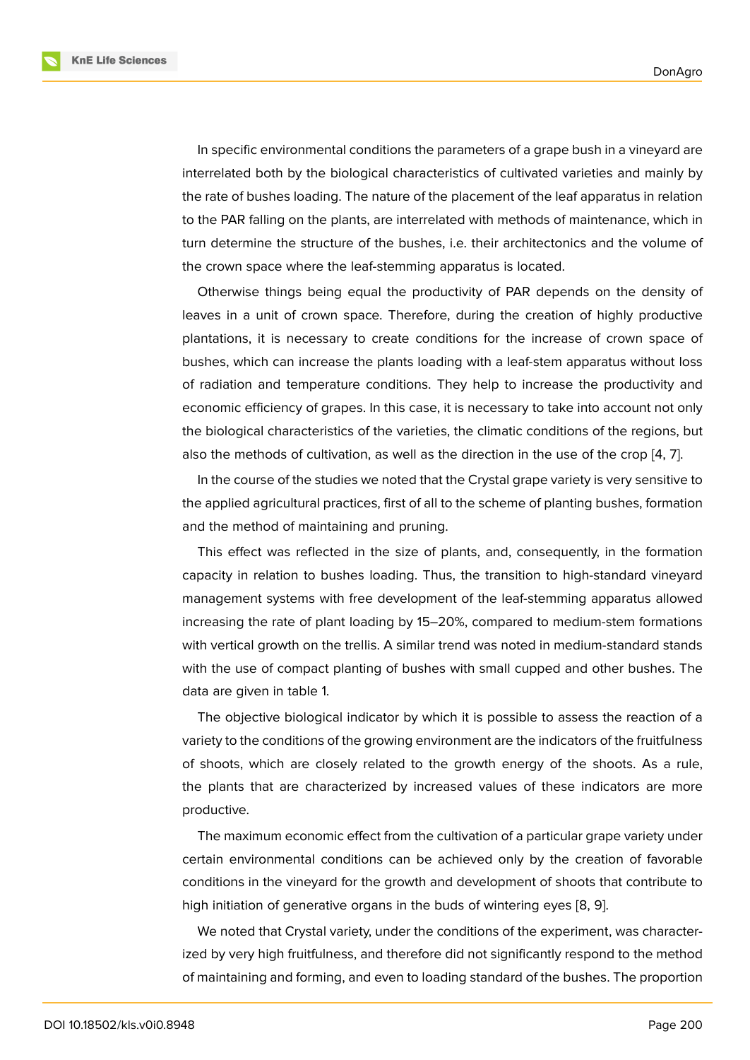In specific environmental conditions the parameters of a grape bush in a vineyard are interrelated both by the biological characteristics of cultivated varieties and mainly by the rate of bushes loading. The nature of the placement of the leaf apparatus in relation to the PAR falling on the plants, are interrelated with methods of maintenance, which in turn determine the structure of the bushes, i.e. their architectonics and the volume of the crown space where the leaf-stemming apparatus is located.

Otherwise things being equal the productivity of PAR depends on the density of leaves in a unit of crown space. Therefore, during the creation of highly productive plantations, it is necessary to create conditions for the increase of crown space of bushes, which can increase the plants loading with a leaf-stem apparatus without loss of radiation and temperature conditions. They help to increase the productivity and economic efficiency of grapes. In this case, it is necessary to take into account not only the biological characteristics of the varieties, the climatic conditions of the regions, but also the methods of cultivation, as well as the direction in the use of the crop [4, 7].

In the course of the studies we noted that the Crystal grape variety is very sensitive to the applied agricultural practices, first of all to the scheme of planting bushes, f[or](#page-7-1)[ma](#page-7-2)tion and the method of maintaining and pruning.

This effect was reflected in the size of plants, and, consequently, in the formation capacity in relation to bushes loading. Thus, the transition to high-standard vineyard management systems with free development of the leaf-stemming apparatus allowed increasing the rate of plant loading by 15–20%, compared to medium-stem formations with vertical growth on the trellis. A similar trend was noted in medium-standard stands with the use of compact planting of bushes with small cupped and other bushes. The data are given in table 1.

The objective biological indicator by which it is possible to assess the reaction of a variety to the conditions of the growing environment are the indicators of the fruitfulness of shoots, which are closely related to the growth energy of the shoots. As a rule, the plants that are characterized by increased values of these indicators are more productive.

The maximum economic effect from the cultivation of a particular grape variety under certain environmental conditions can be achieved only by the creation of favorable conditions in the vineyard for the growth and development of shoots that contribute to high initiation of generative organs in the buds of wintering eyes [8, 9].

We noted that Crystal variety, under the conditions of the experiment, was characterized by very high fruitfulness, and therefore did not significantly respond to the method of maintaining and forming, and even to loading standard of the bu[sh](#page-7-3)[es](#page-7-4). The proportion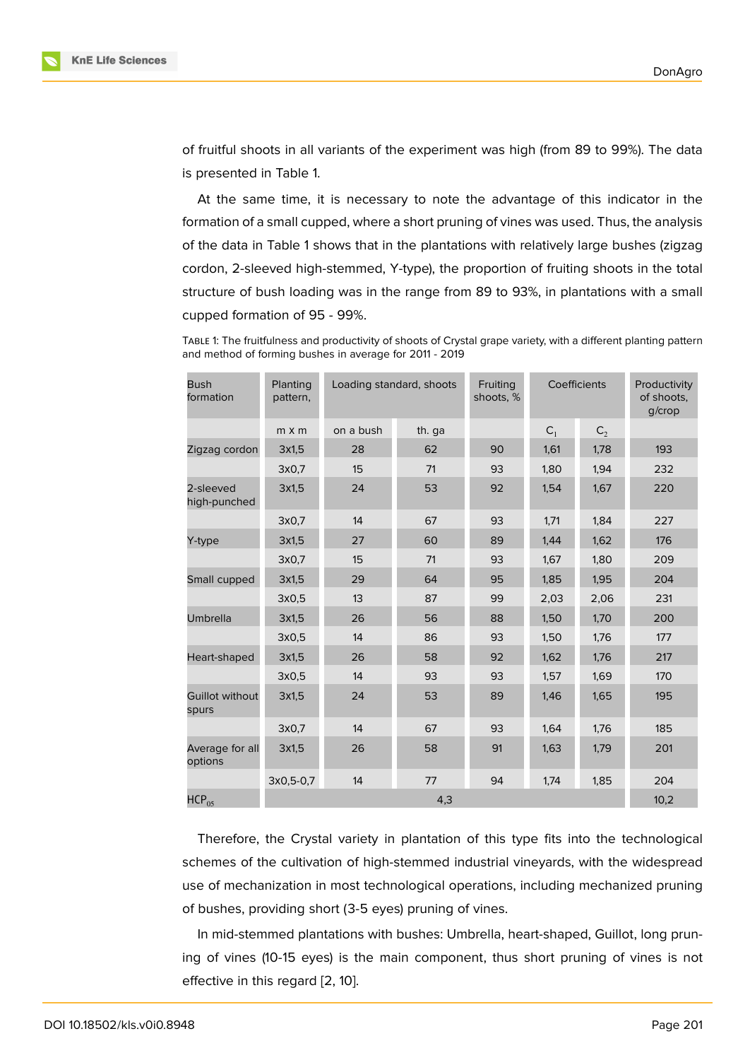of fruitful shoots in all variants of the experiment was high (from 89 to 99%). The data is presented in Table 1.

At the same time, it is necessary to note the advantage of this indicator in the formation of a small cupped, where a short pruning of vines was used. Thus, the analysis of the data in Table 1 shows that in the plantations with relatively large bushes (zigzag cordon, 2-sleeved high-stemmed, Y-type), the proportion of fruiting shoots in the total structure of bush loading was in the range from 89 to 93%, in plantations with a small cupped formation of 95 - 99%.

TABLE 1: The fruitfulness and productivity of shoots of Crystal grape variety, with a different planting pattern and method of forming bushes in average for 2011 - 2019

| <b>Bush</b><br>formation        | Planting<br>pattern, | Loading standard, shoots |        | Fruiting<br>shoots, % | Coefficients |       | Productivity<br>of shoots.<br>$q$ / $Crop$ |
|---------------------------------|----------------------|--------------------------|--------|-----------------------|--------------|-------|--------------------------------------------|
|                                 | $m \times m$         | on a bush                | th. ga |                       | $C_1$        | $C_2$ |                                            |
| Zigzag cordon                   | 3x1,5                | 28                       | 62     | 90                    | 1,61         | 1,78  | 193                                        |
|                                 | 3x0,7                | 15                       | 71     | 93                    | 1,80         | 1,94  | 232                                        |
| 2-sleeved<br>high-punched       | 3x1,5                | 24                       | 53     | 92                    | 1,54         | 1,67  | 220                                        |
|                                 | 3x0,7                | 14                       | 67     | 93                    | 1,71         | 1,84  | 227                                        |
| Y-type                          | 3x1,5                | 27                       | 60     | 89                    | 1,44         | 1,62  | 176                                        |
|                                 | 3x0,7                | 15                       | 71     | 93                    | 1,67         | 1,80  | 209                                        |
| Small cupped                    | 3x1,5                | 29                       | 64     | 95                    | 1,85         | 1,95  | 204                                        |
|                                 | 3x0,5                | 13                       | 87     | 99                    | 2,03         | 2,06  | 231                                        |
| Umbrella                        | 3x1,5                | 26                       | 56     | 88                    | 1,50         | 1,70  | 200                                        |
|                                 | 3x0,5                | 14                       | 86     | 93                    | 1,50         | 1,76  | 177                                        |
| Heart-shaped                    | 3x1,5                | 26                       | 58     | 92                    | 1,62         | 1,76  | 217                                        |
|                                 | 3x0,5                | 14                       | 93     | 93                    | 1,57         | 1,69  | 170                                        |
| <b>Guillot without</b><br>spurs | 3x1,5                | 24                       | 53     | 89                    | 1,46         | 1,65  | 195                                        |
|                                 | 3x0,7                | 14                       | 67     | 93                    | 1,64         | 1,76  | 185                                        |
| Average for all<br>options      | 3x1,5                | 26                       | 58     | 91                    | 1,63         | 1,79  | 201                                        |
|                                 | 3x0,5-0,7            | 14                       | 77     | 94                    | 1,74         | 1,85  | 204                                        |
| $HCP_{05}$                      |                      | 10,2                     |        |                       |              |       |                                            |

Therefore, the Crystal variety in plantation of this type fits into the technological schemes of the cultivation of high-stemmed industrial vineyards, with the widespread use of mechanization in most technological operations, including mechanized pruning of bushes, providing short (3-5 eyes) pruning of vines.

In mid-stemmed plantations with bushes: Umbrella, heart-shaped, Guillot, long pruning of vines (10-15 eyes) is the main component, thus short pruning of vines is not effective in this regard [2, 10].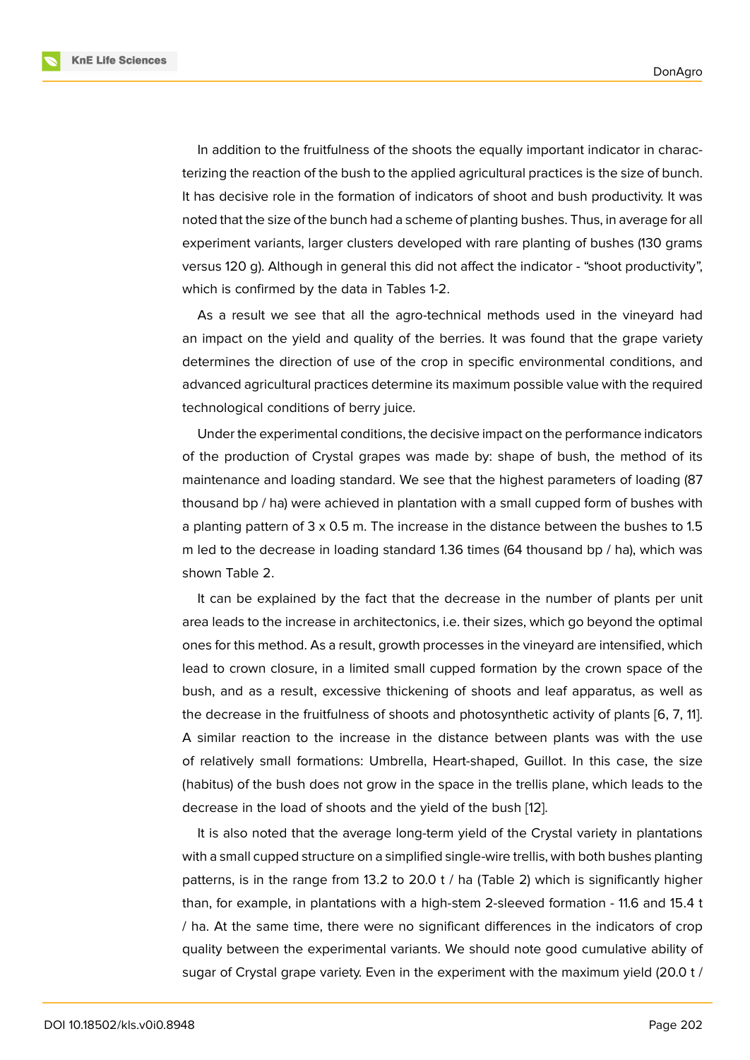In addition to the fruitfulness of the shoots the equally important indicator in characterizing the reaction of the bush to the applied agricultural practices is the size of bunch. It has decisive role in the formation of indicators of shoot and bush productivity. It was noted that the size of the bunch had a scheme of planting bushes. Thus, in average for all experiment variants, larger clusters developed with rare planting of bushes (130 grams versus 120 g). Although in general this did not affect the indicator - "shoot productivity", which is confirmed by the data in Tables 1-2.

As a result we see that all the agro-technical methods used in the vineyard had an impact on the yield and quality of the berries. It was found that the grape variety determines the direction of use of the crop in specific environmental conditions, and advanced agricultural practices determine its maximum possible value with the required technological conditions of berry juice.

Under the experimental conditions, the decisive impact on the performance indicators of the production of Crystal grapes was made by: shape of bush, the method of its maintenance and loading standard. We see that the highest parameters of loading (87 thousand bp / ha) were achieved in plantation with a small cupped form of bushes with a planting pattern of  $3 \times 0.5$  m. The increase in the distance between the bushes to 1.5 m led to the decrease in loading standard 1.36 times (64 thousand bp / ha), which was shown Table 2.

It can be explained by the fact that the decrease in the number of plants per unit area leads to the increase in architectonics, i.e. their sizes, which go beyond the optimal ones for this method. As a result, growth processes in the vineyard are intensified, which lead to crown closure, in a limited small cupped formation by the crown space of the bush, and as a result, excessive thickening of shoots and leaf apparatus, as well as the decrease in the fruitfulness of shoots and photosynthetic activity of plants [6, 7, 11]. A similar reaction to the increase in the distance between plants was with the use of relatively small formations: Umbrella, Heart-shaped, Guillot. In this case, the size (habitus) of the bush does not grow in the space in the trellis plane, which lea[ds](#page-7-5) t[o](#page-7-2) [the](#page-7-6) decrease in the load of shoots and the yield of the bush [12].

It is also noted that the average long-term yield of the Crystal variety in plantations with a small cupped structure on a simplified single-wire trellis, with both bushes planting patterns, is in the range from 13.2 to 20.0 t / ha (Table 2[\) w](#page-7-7)hich is significantly higher than, for example, in plantations with a high-stem 2-sleeved formation - 11.6 and 15.4 t / ha. At the same time, there were no significant differences in the indicators of crop quality between the experimental variants. We should note good cumulative ability of sugar of Crystal grape variety. Even in the experiment with the maximum yield (20.0 t /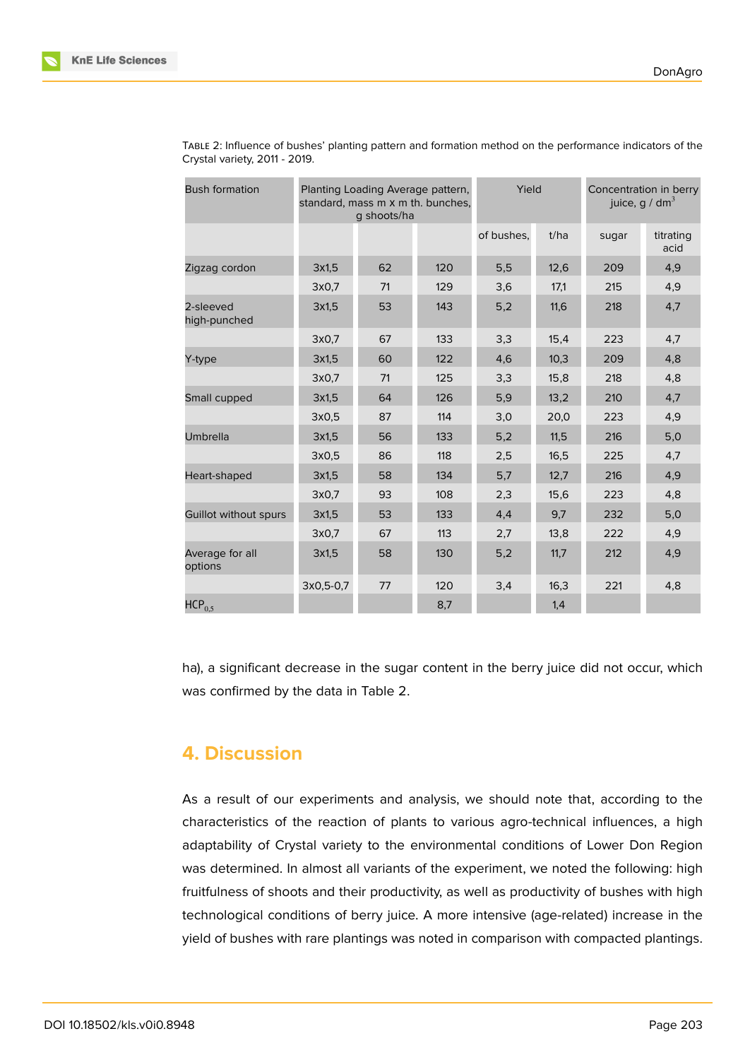| <b>Bush formation</b>      |           | Planting Loading Average pattern,<br>g shoots/ha | standard, mass m x m th. bunches, | Yield      |      | Concentration in berry<br>juice, q / dm <sup>3</sup> |                   |
|----------------------------|-----------|--------------------------------------------------|-----------------------------------|------------|------|------------------------------------------------------|-------------------|
|                            |           |                                                  |                                   | of bushes. | t/ha | sugar                                                | titrating<br>acid |
| Zigzag cordon              | 3x1,5     | 62                                               | 120                               | 5,5        | 12,6 | 209                                                  | 4,9               |
|                            | 3x0,7     | 71                                               | 129                               | 3,6        | 17,1 | 215                                                  | 4,9               |
| 2-sleeved<br>high-punched  | 3x1,5     | 53                                               | 143                               | 5,2        | 11,6 | 218                                                  | 4,7               |
|                            | 3x0,7     | 67                                               | 133                               | 3,3        | 15,4 | 223                                                  | 4,7               |
| Y-type                     | 3x1,5     | 60                                               | 122                               | 4,6        | 10,3 | 209                                                  | 4,8               |
|                            | 3x0,7     | 71                                               | 125                               | 3,3        | 15,8 | 218                                                  | 4,8               |
| Small cupped               | 3x1,5     | 64                                               | 126                               | 5,9        | 13,2 | 210                                                  | 4,7               |
|                            | 3x0,5     | 87                                               | 114                               | 3,0        | 20,0 | 223                                                  | 4,9               |
| Umbrella                   | 3x1,5     | 56                                               | 133                               | 5,2        | 11,5 | 216                                                  | 5,0               |
|                            | 3x0,5     | 86                                               | 118                               | 2,5        | 16,5 | 225                                                  | 4,7               |
| Heart-shaped               | 3x1,5     | 58                                               | 134                               | 5,7        | 12,7 | 216                                                  | 4,9               |
|                            | 3x0,7     | 93                                               | 108                               | 2,3        | 15,6 | 223                                                  | 4,8               |
| Guillot without spurs      | 3x1,5     | 53                                               | 133                               | 4,4        | 9,7  | 232                                                  | 5,0               |
|                            | 3x0,7     | 67                                               | 113                               | 2,7        | 13,8 | 222                                                  | 4,9               |
| Average for all<br>options | 3x1,5     | 58                                               | 130                               | 5,2        | 11,7 | 212                                                  | 4,9               |
|                            | 3x0,5-0,7 | 77                                               | 120                               | 3,4        | 16,3 | 221                                                  | 4,8               |
| $HCP_{0.5}$                |           |                                                  | 8,7                               |            | 1,4  |                                                      |                   |

TABLE 2: Influence of bushes' planting pattern and formation method on the performance indicators of the Crystal variety, 2011 - 2019.

ha), a significant decrease in the sugar content in the berry juice did not occur, which was confirmed by the data in Table 2.

### **4. Discussion**

As a result of our experiments and analysis, we should note that, according to the characteristics of the reaction of plants to various agro-technical influences, a high adaptability of Crystal variety to the environmental conditions of Lower Don Region was determined. In almost all variants of the experiment, we noted the following: high fruitfulness of shoots and their productivity, as well as productivity of bushes with high technological conditions of berry juice. A more intensive (age-related) increase in the yield of bushes with rare plantings was noted in comparison with compacted plantings.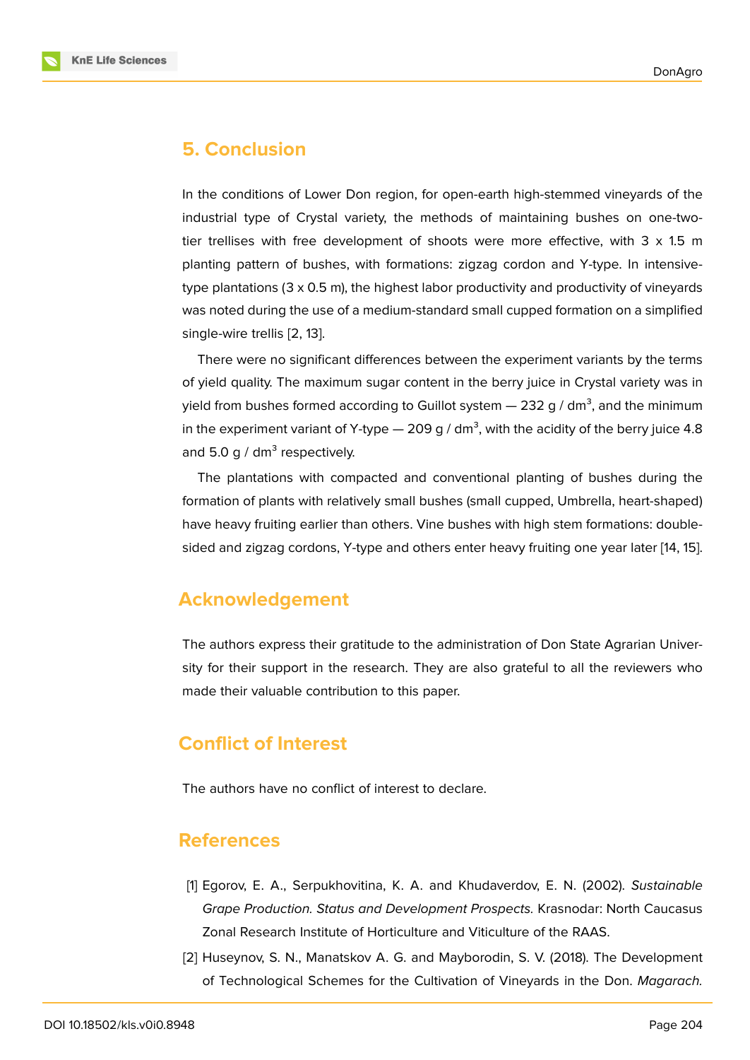#### **5. Conclusion**

In the conditions of Lower Don region, for open-earth high-stemmed vineyards of the industrial type of Crystal variety, the methods of maintaining bushes on one-twotier trellises with free development of shoots were more effective, with  $3 \times 1.5$  m planting pattern of bushes, with formations: zigzag cordon and Y-type. In intensivetype plantations (3 x 0.5 m), the highest labor productivity and productivity of vineyards was noted during the use of a medium-standard small cupped formation on a simplified single-wire trellis [2, 13].

There were no significant differences between the experiment variants by the terms of yield quality. The maximum sugar content in the berry juice in Crystal variety was in yield from bushes [fo](#page-6-0)[rm](#page-7-8)ed according to Guillot system  $-$  232 g / dm<sup>3</sup>, and the minimum in the experiment variant of Y-type  $-$  209 g / dm<sup>3</sup>, with the acidity of the berry juice 4.8 and 5.0 g /  $dm^3$  respectively.

The plantations with compacted and conventional planting of bushes during the formation of plants with relatively small bushes (small cupped, Umbrella, heart-shaped) have heavy fruiting earlier than others. Vine bushes with high stem formations: doublesided and zigzag cordons, Y-type and others enter heavy fruiting one year later [14, 15].

# **Acknowledgement**

The authors express their gratitude to the administration of Don State Agrarian University for their support in the research. They are also grateful to all the reviewers who made their valuable contribution to this paper.

### **Conflict of Interest**

The authors have no conflict of interest to declare.

### **References**

- [1] Egorov, E. A., Serpukhovitina, K. A. and Khudaverdov, E. N. (2002). *Sustainable Grape Production. Status and Development Prospects.* Krasnodar: North Caucasus Zonal Research Institute of Horticulture and Viticulture of the RAAS.
- <span id="page-6-0"></span>[2] Huseynov, S. N., Manatskov A. G. and Mayborodin, S. V. (2018). The Development of Technological Schemes for the Cultivation of Vineyards in the Don. *Magarach.*